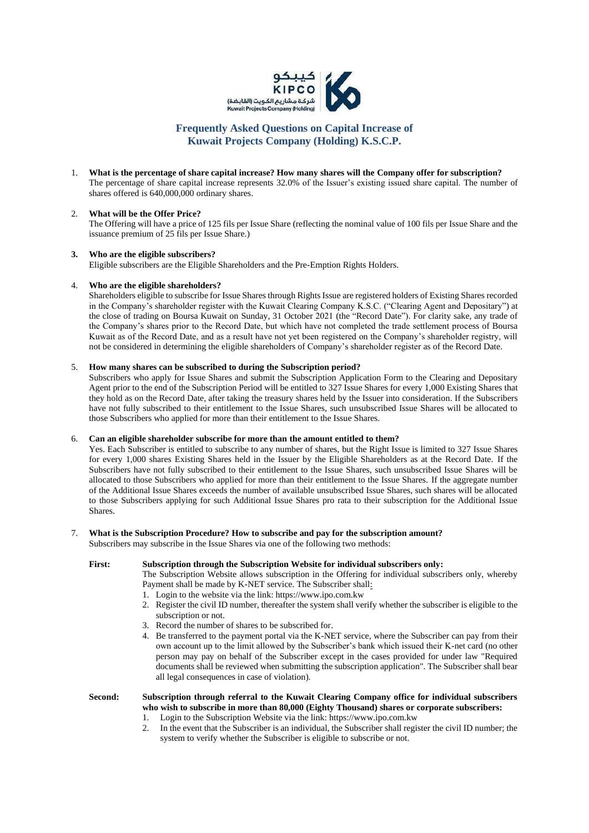

# **Frequently Asked Questions on Capital Increase of Kuwait Projects Company (Holding) K.S.C.P.**

1. **What is the percentage of share capital increase? How many shares will the Company offer for subscription?** The percentage of share capital increase represents 32.0% of the Issuer's existing issued share capital. The number of shares offered is 640,000,000 ordinary shares.

# 2. **What will be the Offer Price?**

The Offering will have a price of 125 fils per Issue Share (reflecting the nominal value of 100 fils per Issue Share and the issuance premium of 25 fils per Issue Share.)

#### **3. Who are the eligible subscribers?**

Eligible subscribers are the Eligible Shareholders and the Pre-Emption Rights Holders.

#### 4. **Who are the eligible shareholders?**

Shareholders eligible to subscribe for Issue Shares through Rights Issue are registered holders of Existing Shares recorded in the Company's shareholder register with the Kuwait Clearing Company K.S.C. ("Clearing Agent and Depositary") at the close of trading on Boursa Kuwait on Sunday, 31 October 2021 (the "Record Date"). For clarity sake, any trade of the Company's shares prior to the Record Date, but which have not completed the trade settlement process of Boursa Kuwait as of the Record Date, and as a result have not yet been registered on the Company's shareholder registry, will not be considered in determining the eligible shareholders of Company's shareholder register as of the Record Date.

## 5. **How many shares can be subscribed to during the Subscription period?**

Subscribers who apply for Issue Shares and submit the Subscription Application Form to the Clearing and Depositary Agent prior to the end of the Subscription Period will be entitled to 327 Issue Shares for every 1,000 Existing Shares that they hold as on the Record Date, after taking the treasury shares held by the Issuer into consideration. If the Subscribers have not fully subscribed to their entitlement to the Issue Shares, such unsubscribed Issue Shares will be allocated to those Subscribers who applied for more than their entitlement to the Issue Shares.

# 6. **Can an eligible shareholder subscribe for more than the amount entitled to them?**

Yes. Each Subscriber is entitled to subscribe to any number of shares, but the Right Issue is limited to 327 Issue Shares for every 1,000 shares Existing Shares held in the Issuer by the Eligible Shareholders as at the Record Date. If the Subscribers have not fully subscribed to their entitlement to the Issue Shares, such unsubscribed Issue Shares will be allocated to those Subscribers who applied for more than their entitlement to the Issue Shares. If the aggregate number of the Additional Issue Shares exceeds the number of available unsubscribed Issue Shares, such shares will be allocated to those Subscribers applying for such Additional Issue Shares pro rata to their subscription for the Additional Issue Shares.

#### 7. **What is the Subscription Procedure? How to subscribe and pay for the subscription amount?**

Subscribers may subscribe in the Issue Shares via one of the following two methods:

### **First: Subscription through the Subscription Website for individual subscribers only:**

The Subscription Website allows subscription in the Offering for individual subscribers only, whereby Payment shall be made by K-NET service. The Subscriber shall:

- 1. Login to the website via the link: https://www.ipo.com.kw
- 2. Register the civil ID number, thereafter the system shall verify whether the subscriber is eligible to the subscription or not.
- 3. Record the number of shares to be subscribed for.
- 4. Be transferred to the payment portal via the K-NET service, where the Subscriber can pay from their own account up to the limit allowed by the Subscriber's bank which issued their K-net card (no other person may pay on behalf of the Subscriber except in the cases provided for under law "Required documents shall be reviewed when submitting the subscription application". The Subscriber shall bear all legal consequences in case of violation).

# **Second: Subscription through referral to the Kuwait Clearing Company office for individual subscribers who wish to subscribe in more than 80,000 (Eighty Thousand) shares or corporate subscribers:**

- 1. Login to the Subscription Website via the link: https://www.ipo.com.kw
- 2. In the event that the Subscriber is an individual, the Subscriber shall register the civil ID number; the system to verify whether the Subscriber is eligible to subscribe or not.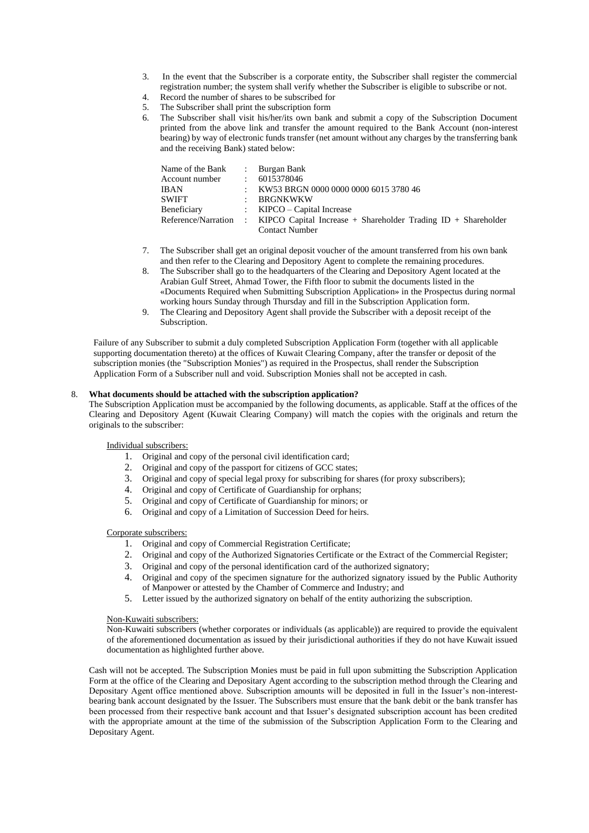- 3. In the event that the Subscriber is a corporate entity, the Subscriber shall register the commercial registration number; the system shall verify whether the Subscriber is eligible to subscribe or not.
- 4. Record the number of shares to be subscribed for
- 5. The Subscriber shall print the subscription form
- 6. The Subscriber shall visit his/her/its own bank and submit a copy of the Subscription Document printed from the above link and transfer the amount required to the Bank Account (non-interest bearing) by way of electronic funds transfer (net amount without any charges by the transferring bank and the receiving Bank) stated below:

| Name of the Bank |                                 | : Burgan Bank                                                                       |
|------------------|---------------------------------|-------------------------------------------------------------------------------------|
| Account number   |                                 | : 6015378046                                                                        |
| <b>IBAN</b>      | $\mathcal{L}$                   | KW53 BRGN 0000 0000 0000 6015 3780 46                                               |
| SWIFT            | $\bullet$ .<br><br><br><br><br> | BRGNKWKW                                                                            |
| Beneficiary      |                                 | : $KIPCO - Capital Increase$                                                        |
|                  |                                 | Reference/Narration : KIPCO Capital Increase + Shareholder Trading ID + Shareholder |
|                  |                                 | <b>Contact Number</b>                                                               |

- 7. The Subscriber shall get an original deposit voucher of the amount transferred from his own bank and then refer to the Clearing and Depository Agent to complete the remaining procedures.
- 8. The Subscriber shall go to the headquarters of the Clearing and Depository Agent located at the Arabian Gulf Street, Ahmad Tower, the Fifth floor to submit the documents listed in the «Documents Required when Submitting Subscription Application» in the Prospectus during normal working hours Sunday through Thursday and fill in the Subscription Application form.
- 9. The Clearing and Depository Agent shall provide the Subscriber with a deposit receipt of the Subscription.

Failure of any Subscriber to submit a duly completed Subscription Application Form (together with all applicable supporting documentation thereto) at the offices of Kuwait Clearing Company, after the transfer or deposit of the subscription monies (the "Subscription Monies") as required in the Prospectus, shall render the Subscription Application Form of a Subscriber null and void. Subscription Monies shall not be accepted in cash.

# 8. **What documents should be attached with the subscription application?**

The Subscription Application must be accompanied by the following documents, as applicable. Staff at the offices of the Clearing and Depository Agent (Kuwait Clearing Company) will match the copies with the originals and return the originals to the subscriber:

Individual subscribers:

- 1. Original and copy of the personal civil identification card;
- 2. Original and copy of the passport for citizens of GCC states;
- 3. Original and copy of special legal proxy for subscribing for shares (for proxy subscribers);
- 4. Original and copy of Certificate of Guardianship for orphans;
- 5. Original and copy of Certificate of Guardianship for minors; or
- 6. Original and copy of a Limitation of Succession Deed for heirs.

#### Corporate subscribers:

- 1. Original and copy of Commercial Registration Certificate;
- 2. Original and copy of the Authorized Signatories Certificate or the Extract of the Commercial Register;
- 3. Original and copy of the personal identification card of the authorized signatory;
- 4. Original and copy of the specimen signature for the authorized signatory issued by the Public Authority of Manpower or attested by the Chamber of Commerce and Industry; and
- 5. Letter issued by the authorized signatory on behalf of the entity authorizing the subscription.

#### Non-Kuwaiti subscribers:

Non-Kuwaiti subscribers (whether corporates or individuals (as applicable)) are required to provide the equivalent of the aforementioned documentation as issued by their jurisdictional authorities if they do not have Kuwait issued documentation as highlighted further above.

Cash will not be accepted. The Subscription Monies must be paid in full upon submitting the Subscription Application Form at the office of the Clearing and Depositary Agent according to the subscription method through the Clearing and Depositary Agent office mentioned above. Subscription amounts will be deposited in full in the Issuer's non-interestbearing bank account designated by the Issuer. The Subscribers must ensure that the bank debit or the bank transfer has been processed from their respective bank account and that Issuer's designated subscription account has been credited with the appropriate amount at the time of the submission of the Subscription Application Form to the Clearing and Depositary Agent.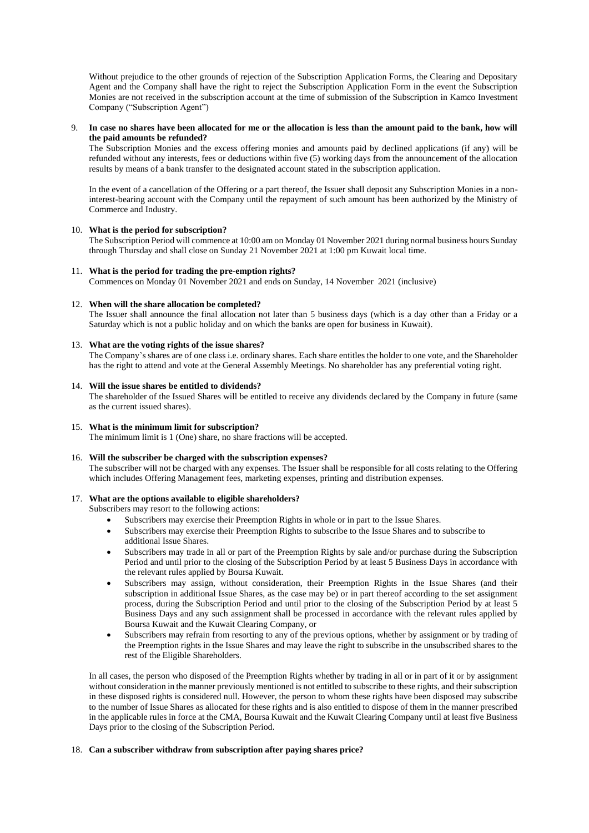Without prejudice to the other grounds of rejection of the Subscription Application Forms, the Clearing and Depositary Agent and the Company shall have the right to reject the Subscription Application Form in the event the Subscription Monies are not received in the subscription account at the time of submission of the Subscription in Kamco Investment Company ("Subscription Agent")

#### 9. **In case no shares have been allocated for me or the allocation is less than the amount paid to the bank, how will the paid amounts be refunded?**

The Subscription Monies and the excess offering monies and amounts paid by declined applications (if any) will be refunded without any interests, fees or deductions within five (5) working days from the announcement of the allocation results by means of a bank transfer to the designated account stated in the subscription application.

In the event of a cancellation of the Offering or a part thereof, the Issuer shall deposit any Subscription Monies in a noninterest-bearing account with the Company until the repayment of such amount has been authorized by the Ministry of Commerce and Industry.

## 10. **What is the period for subscription?**

The Subscription Period will commence at 10:00 am on Monday 01 November 2021 during normal business hours Sunday through Thursday and shall close on Sunday 21 November 2021 at 1:00 pm Kuwait local time.

# 11. **What is the period for trading the pre-emption rights?**

Commences on Monday 01 November 2021 and ends on Sunday, 14 November 2021 (inclusive)

## 12. **When will the share allocation be completed?**

The Issuer shall announce the final allocation not later than 5 business days (which is a day other than a Friday or a Saturday which is not a public holiday and on which the banks are open for business in Kuwait).

# 13. **What are the voting rights of the issue shares?**

The Company's shares are of one class i.e. ordinary shares. Each share entitles the holder to one vote, and the Shareholder has the right to attend and vote at the General Assembly Meetings. No shareholder has any preferential voting right.

# 14. **Will the issue shares be entitled to dividends?**

The shareholder of the Issued Shares will be entitled to receive any dividends declared by the Company in future (same as the current issued shares).

# 15. **What is the minimum limit for subscription?**

The minimum limit is 1 (One) share, no share fractions will be accepted.

#### 16. **Will the subscriber be charged with the subscription expenses?**

The subscriber will not be charged with any expenses. The Issuer shall be responsible for all costs relating to the Offering which includes Offering Management fees, marketing expenses, printing and distribution expenses.

# 17. **What are the options available to eligible shareholders?**

Subscribers may resort to the following actions:

- Subscribers may exercise their Preemption Rights in whole or in part to the Issue Shares.
- Subscribers may exercise their Preemption Rights to subscribe to the Issue Shares and to subscribe to additional Issue Shares.
- Subscribers may trade in all or part of the Preemption Rights by sale and/or purchase during the Subscription Period and until prior to the closing of the Subscription Period by at least 5 Business Days in accordance with the relevant rules applied by Boursa Kuwait.
- Subscribers may assign, without consideration, their Preemption Rights in the Issue Shares (and their subscription in additional Issue Shares, as the case may be) or in part thereof according to the set assignment process, during the Subscription Period and until prior to the closing of the Subscription Period by at least 5 Business Days and any such assignment shall be processed in accordance with the relevant rules applied by Boursa Kuwait and the Kuwait Clearing Company, or
- Subscribers may refrain from resorting to any of the previous options, whether by assignment or by trading of the Preemption rights in the Issue Shares and may leave the right to subscribe in the unsubscribed shares to the rest of the Eligible Shareholders.

In all cases, the person who disposed of the Preemption Rights whether by trading in all or in part of it or by assignment without consideration in the manner previously mentioned is not entitled to subscribe to these rights, and their subscription in these disposed rights is considered null. However, the person to whom these rights have been disposed may subscribe to the number of Issue Shares as allocated for these rights and is also entitled to dispose of them in the manner prescribed in the applicable rules in force at the CMA, Boursa Kuwait and the Kuwait Clearing Company until at least five Business Days prior to the closing of the Subscription Period.

#### 18. **Can a subscriber withdraw from subscription after paying shares price?**